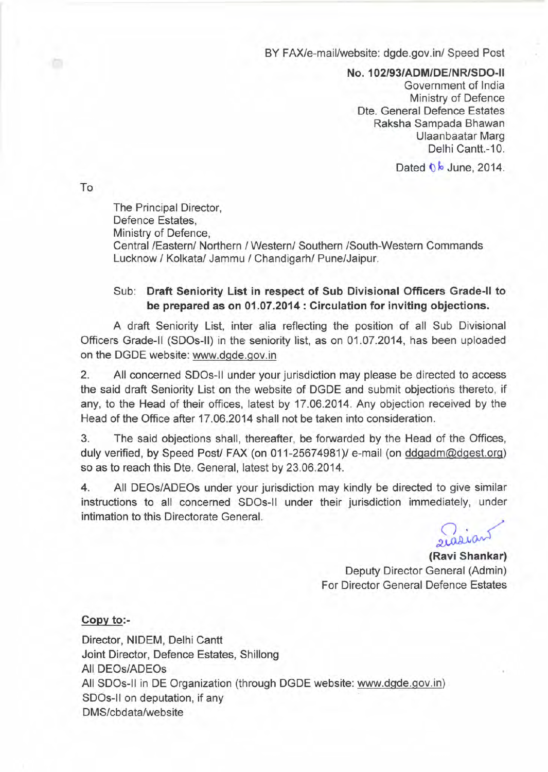BY FAX/e-mail/website: dgde.gov.in/ Speed Post

*NO.102/93/ADM/DE/NRlSDO-1i*

Government of India Ministry of Defence Dte. General Defence Estates Raksha Sampada Bhawan Ulaanbaatar Marg Delhi Cantt.-10.

Dated  $0\sqrt{b}$  June, 2014.

To

衙

The Principal Director, Defence Estates, Ministry of Defence, Central /Eastern/ Northern / Western/ Southern /South-Western Commands Lucknow / Kolkata/ Jammu / Chandigarh/ Pune/Jaipur.

## Sub: **Draft Seniority List in respect of Sub Divisional Officers Grade-II to be prepared as on 01.07.2014 : Circulation for inviting objections.**

A draft Seniority List, inter alia reflecting the position of all Sub Divisional Officers Grade-II (SDOs-lI) in the seniority list, as on 01.07.2014, has been uploaded on the DGDE website: www.dgde.gov.in

2. All concerned SDOs-1i under your jurisdiction may please be directed to access the said draft Seniority List on the website of DGDE and submit objections thereto, if any, to the Head of their offices, latest by 17.06.2014. Any objection received by the Head of the Office after 17.06.2014 shall not be taken into consideration.

3. The said objections shall, thereafter, be forwarded by the Head of the Offices, duly verified, by Speed Post/ FAX (on 011-25674981)/ e-mail (on ddgadm@dgest.org) so as to reach this Dte. General, latest by 23.06.2014.

4. All DEOs/ADEOs under your jurisdiction may kindly be directed to give similar instructions to all concerned SDOs-1i under their jurisdiction immediately, under intimation to this Directorate General.

 $\overline{\mathcal{L}}$ 

**(Ravi Shankar)** Deputy Director General (Admin) For Director General Defence Estates

## **Copy to:-**

Director, NIDEM, Delhi Cantt Joint Director, Defence Estates, Shillong All DEOs/ADEOs All SDOs-II in DE Organization (through DGDE website: www.dgde.gov.in) SDOs-II on deputation, if any DMS/cbdata/website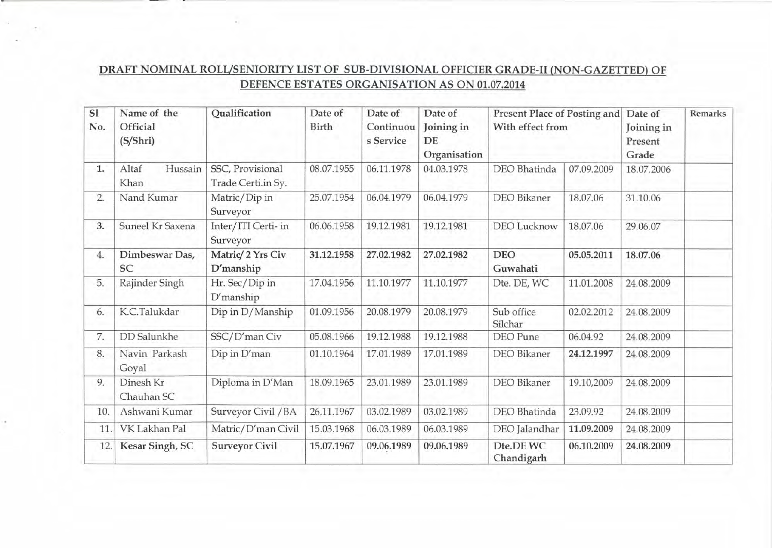## *DRAFT* NOMINAL ROLL/SENIORITY LIST OF SUB-DIVISIONAL OFFICIER GRADE-II (NON-GAZETTED) OF DEFENCE ESTATES ORGANISATION AS ON 01.07.2014

| S1<br>No. | Name of the<br>Official<br>(S/Shri) | Qualification                          | Date of<br>Birth | Date of<br>Continuou<br>s Service | Date of<br>Joining in<br>DE<br>Organisation | With effect from        | Present Place of Posting and |            | Remarks |
|-----------|-------------------------------------|----------------------------------------|------------------|-----------------------------------|---------------------------------------------|-------------------------|------------------------------|------------|---------|
| 1.        | Hussain<br>Altaf<br>Khan            | SSC, Provisional<br>Trade Certi.in Sy. | 08.07.1955       | 06.11.1978                        | 04.03.1978                                  | DEO Bhatinda            | 07.09.2009                   | 18.07.2006 |         |
| 2.        | Nand Kumar                          | Matric/Dip in<br>Surveyor              | 25.07.1954       | 06.04.1979                        | 06.04.1979                                  | <b>DEO</b> Bikaner      | 18.07.06                     | 31.10.06   |         |
| 3.        | Suneel Kr Saxena                    | Inter/ITI Certi- in<br>Surveyor        | 06.06.1958       | 19.12.1981                        | 19.12.1981                                  | <b>DEO</b> Lucknow      | 18.07.06                     | 29.06.07   |         |
| 4.        | Dimbeswar Das,<br><b>SC</b>         | Matric/ 2 Yrs Civ<br>D'manship         | 31.12.1958       | 27.02.1982                        | 27.02.1982                                  | <b>DEO</b><br>Guwahati  | 05.05.2011                   | 18.07.06   |         |
| 5.        | Rajinder Singh                      | Hr. Sec/Dip in<br>D'manship            | 17.04.1956       | 11.10.1977                        | 11.10.1977                                  | Dte. DE, WC             | 11.01.2008                   | 24.08.2009 |         |
| 6.        | K.C.Talukdar                        | Dip in D/Manship                       | 01.09.1956       | 20.08.1979                        | 20.08.1979                                  | Sub office<br>Silchar   | 02.02.2012                   | 24.08.2009 |         |
| 7.        | DD Salunkhe                         | SSC/D'man Civ                          | 05.08.1966       | 19.12.1988                        | 19.12.1988                                  | DEO Pune                | 06.04.92                     | 24.08.2009 |         |
| 8.        | Navin Parkash<br>Goyal              | Dip in D'man                           | 01.10.1964       | 17.01.1989                        | 17.01.1989                                  | DEO Bikaner             | 24.12.1997                   | 24.08.2009 |         |
| 9.        | Dinesh Kr<br>Chauhan SC             | Diploma in D'Man                       | 18.09.1965       | 23.01.1989                        | 23.01.1989                                  | DEO Bikaner             | 19.10,2009                   | 24.08.2009 |         |
| 10.       | Ashwani Kumar                       | Surveyor Civil / BA                    | 26.11.1967       | 03.02.1989                        | 03.02.1989                                  | DEO Bhatinda            | 23.09.92                     | 24.08.2009 |         |
| 11        | VK Lakhan Pal                       | Matric/D'man Civil                     | 15.03.1968       | 06.03.1989                        | 06.03.1989                                  | DEO Jalandhar           | 11.09.2009                   | 24.08.2009 |         |
| 12.       | Kesar Singh, SC                     | <b>Surveyor Civil</b>                  | 15.07.1967       | 09.06.1989                        | 09.06.1989                                  | Dte.DE WC<br>Chandigarh | 06.10.2009                   | 24.08.2009 |         |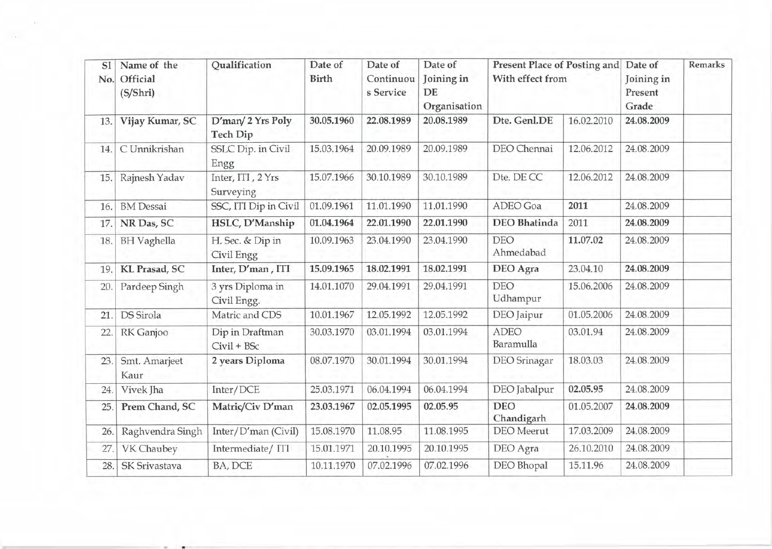| SI<br>No. | Name of the<br>Official<br>(S/Shri) | Qualification                   | Date of<br><b>Birth</b> | Date of<br>Continuou<br>s Service | Date of<br>Joining in<br>DE<br>Organisation | Present Place of Posting and<br>With effect from |            | Date of<br>Joining in<br>Present<br>Grade | Remarks |
|-----------|-------------------------------------|---------------------------------|-------------------------|-----------------------------------|---------------------------------------------|--------------------------------------------------|------------|-------------------------------------------|---------|
| 13.       | Vijay Kumar, SC                     | D'man/2 Yrs Poly<br>Tech Dip    | 30.05.1960              | 22.08.1989                        | 20.08.1989                                  | Dte. Genl.DE                                     | 16.02.2010 | 24.08.2009                                |         |
| 14.       | C Unnikrishan                       | SSLC Dip. in Civil<br>Engg      | 15.03.1964              | 20.09.1989                        | 20.09.1989                                  | DEO Chennai                                      | 12.06.2012 | 24.08.2009                                |         |
| 15.       | Rajnesh Yadav                       | Inter, ITI, 2 Yrs<br>Surveying  | 15.07.1966              | 30.10.1989                        | 30.10.1989                                  | Dte. DE CC                                       | 12.06.2012 | 24.08.2009                                |         |
| 16.       | <b>BM</b> Dessai                    | SSC, ITI Dip in Civil           | 01.09.1961              | 11.01.1990                        | 11.01.1990                                  | ADEO Goa                                         | 2011       | 24.08.2009                                |         |
| 17.       | NR Das, SC                          | HSLC, D'Manship                 | 01.04.1964              | 22.01.1990                        | 22.01.1990                                  | <b>DEO</b> Bhatinda                              | 2011       | 24.08.2009                                |         |
| 18.       | <b>BH</b> Vaghella                  | H. Sec. & Dip in<br>Civil Engg  | 10.09.1963              | 23.04.1990                        | 23.04.1990                                  | <b>DEO</b><br>Ahmedabad                          | 11.07.02   | 24.08.2009                                |         |
| 19.       | KL Prasad, SC                       | Inter, D'man, ITI               | 15.09.1965              | 18.02.1991                        | 18.02.1991                                  | DEO Agra                                         | 23.04.10   | 24.08.2009                                |         |
| 20.       | Pardeep Singh                       | 3 yrs Diploma in<br>Civil Engg. | 14.01.1070              | 29.04.1991                        | 29.04.1991                                  | <b>DEO</b><br>Udhampur                           | 15.06.2006 | 24.08.2009                                |         |
| 21        | DS Sirola                           | Matric and CDS                  | 10.01.1967              | 12.05.1992                        | 12.05.1992                                  | DEO Jaipur                                       | 01.05.2006 | 24.08.2009                                |         |
| 22        | RK Ganjoo                           | Dip in Draftman<br>Civil + BSc  | 30.03.1970              | 03.01.1994                        | 03.01.1994                                  | <b>ADEO</b><br>Baramulla                         | 03.01.94   | 24.08.2009                                |         |
| 23.       | Smt. Amarjeet<br>Kaur               | 2 years Diploma                 | 08.07.1970              | 30.01.1994                        | 30.01.1994                                  | DEO Srinagar                                     | 18.03.03   | 24.08.2009                                |         |
| 24.       | Vivek Jha                           | Inter/DCE                       | 25.03.1971              | 06.04.1994                        | 06.04.1994                                  | DEO Jabalpur                                     | 02.05.95   | 24.08.2009                                |         |
| 25.       | Prem Chand, SC                      | Matric/Civ D'man                | 23.03.1967              | 02.05.1995                        | 02.05.95                                    | <b>DEO</b><br>Chandigarh                         | 01.05.2007 | 24.08.2009                                |         |
| 26.       | Raghvendra Singh                    | Inter/D'man (Civil)             | 15.08.1970              | 11.08.95                          | 11.08.1995                                  | <b>DEO</b> Meerut                                | 17.03.2009 | 24.08.2009                                |         |
| 27.       | VK Chaubey                          | Intermediate/ITI                | 15.01.1971              | 20.10.1995                        | 20.10.1995                                  | DEO Agra                                         | 26.10.2010 | 24.08.2009                                |         |
| 28.       | <b>SK Srivastava</b>                | BA, DCE                         | 10.11.1970              | 07.02.1996                        | 07.02.1996                                  | <b>DEO</b> Bhopal                                | 15.11.96   | 24.08.2009                                |         |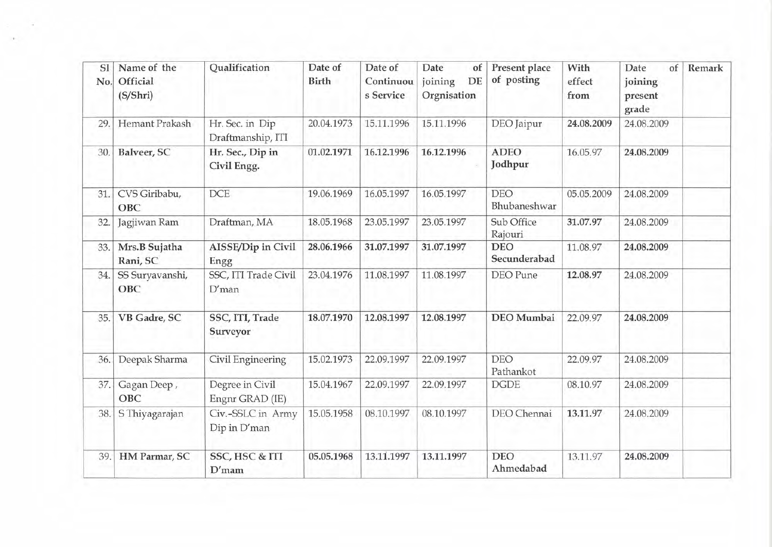| SI<br>No. | Name of the<br>Official<br>(S/Shri) | Qualification                        | Date of<br>Birth | Date of<br>Continuou<br>s Service | Date<br>of<br>joining<br>DE<br>Orgnisation | Present place<br>of posting | With<br>effect<br>from | of<br>Date<br>joining<br>present<br>grade | Remark |
|-----------|-------------------------------------|--------------------------------------|------------------|-----------------------------------|--------------------------------------------|-----------------------------|------------------------|-------------------------------------------|--------|
| 29        | Hemant Prakash                      | Hr. Sec. in Dip<br>Draftmanship, ITI | 20.04.1973       | 15.11.1996                        | 15.11.1996                                 | DEO Jaipur                  | 24.08.2009             | 24.08.2009                                |        |
| 30.       | Balveer, SC                         | Hr. Sec., Dip in<br>Civil Engg.      | 01.02.1971       | 16.12.1996                        | 16.12.1996                                 | <b>ADEO</b><br>Jodhpur      | 16.05.97               | 24.08.2009                                |        |
| 31.       | CVS Giribabu,<br>OBC                | <b>DCE</b>                           | 19.06.1969       | 16.05.1997                        | 16.05.1997                                 | DEO<br>Bhubaneshwar         | 05.05.2009             | 24.08.2009                                |        |
| 32.       | Jagjiwan Ram                        | Draftman, MA                         | 18.05.1968       | 23.05.1997                        | 23.05.1997                                 | Sub Office<br>Rajouri       | 31.07.97               | 24.08.2009                                |        |
| 33.       | Mrs.B Sujatha<br>Rani, SC           | AISSE/Dip in Civil<br>Engg           | 28.06.1966       | 31.07.1997                        | 31.07.1997                                 | <b>DEO</b><br>Secunderabad  | 11.08.97               | 24.08.2009                                |        |
| 34.       | SS Suryavanshi,<br>OBC              | SSC, ITI Trade Civil<br>$D'$ man     | 23.04.1976       | 11.08.1997                        | 11.08.1997                                 | DEO Pune                    | 12.08.97               | 24.08.2009                                |        |
| 35.       | VB Gadre, SC                        | SSC, ITI, Trade<br>Surveyor          | 18.07.1970       | 12.08.1997                        | 12.08.1997                                 | DEO Mumbai                  | 22.09.97               | 24.08.2009                                |        |
| 36.       | Deepak Sharma                       | Civil Engineering                    | 15.02.1973       | 22.09.1997                        | 22.09.1997                                 | <b>DEO</b><br>Pathankot     | 22.09.97               | 24.08.2009                                |        |
| 37.       | Gagan Deep,<br>OBC                  | Degree in Civil<br>Engnr GRAD (IE)   | 15.04.1967       | 22.09.1997                        | 22.09.1997                                 | <b>DGDE</b>                 | 08.10.97               | 24.08.2009                                |        |
| 38        | S Thiyagarajan                      | Civ.-SSLC in Army<br>Dip in D'man    | 15.05.1958       | 08.10.1997                        | 08.10.1997                                 | DEO Chennai                 | 13.11.97               | 24.08.2009                                |        |
| 39.       | HM Parmar, SC                       | SSC, HSC & ITI<br>$D'$ mam           | 05.05.1968       | 13.11.1997                        | 13.11.1997                                 | <b>DEO</b><br>Ahmedabad     | 13.11.97               | 24.08.2009                                |        |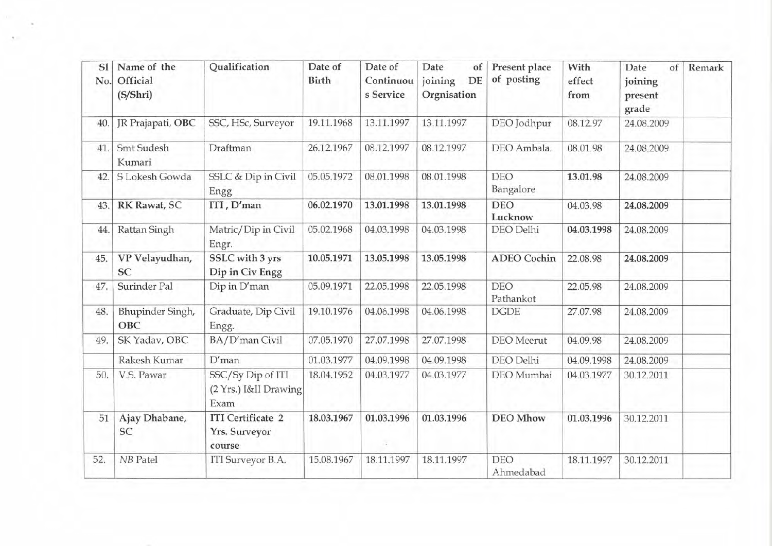| S1<br>No. | Name of the<br>Official<br>(S/Shri) | Qualification                                       | Date of<br>Birth | Date of<br>Continuou<br>s Service | Date<br>of<br>joining<br>DE<br>Orgnisation | Present place<br>of posting | With<br>effect<br>from | of<br>Date<br>joining<br>present<br>grade | Remark |
|-----------|-------------------------------------|-----------------------------------------------------|------------------|-----------------------------------|--------------------------------------------|-----------------------------|------------------------|-------------------------------------------|--------|
| 40        | JR Prajapati, OBC                   | SSC, HSc, Surveyor                                  | 19.11.1968       | 13.11.1997                        | 13.11.1997                                 | DEO Jodhpur                 | 08.12.97               | 24.08.2009                                |        |
| 41        | <b>Smt Sudesh</b><br>Kumari         | Draftman                                            | 26.12.1967       | 08.12.1997                        | 08.12.1997                                 | DEO Ambala.                 | 08.01.98               | 24.08.2009                                |        |
| 42.       | S Lokesh Gowda                      | SSLC & Dip in Civil<br>Engg                         | 05.05.1972       | 08.01.1998                        | 08.01.1998                                 | <b>DEO</b><br>Bangalore     | 13.01.98               | 24.08.2009                                |        |
| 43.       | RK Rawat, SC                        | ITI, D'man                                          | 06.02.1970       | 13.01.1998                        | 13.01.1998                                 | <b>DEO</b><br>Lucknow       | 04.03.98               | 24.08.2009                                |        |
| 44.       | Rattan Singh                        | Matric/Dip in Civil<br>Engr.                        | 05.02.1968       | 04.03.1998                        | 04.03.1998                                 | DEO Delhi                   | 04.03.1998             | 24.08.2009                                |        |
| 45.       | VP Velayudhan,<br>SC                | SSLC with 3 yrs<br>Dip in Civ Engg                  | 10.05.1971       | 13.05.1998                        | 13.05.1998                                 | <b>ADEO</b> Cochin          | 22.08.98               | 24.08.2009                                |        |
| 47.       | Surinder Pal                        | Dip in D'man                                        | 05.09.1971       | 22.05.1998                        | 22.05.1998                                 | <b>DEO</b><br>Pathankot     | 22.05.98               | 24.08.2009                                |        |
| 48.       | Bhupinder Singh,<br>OBC             | Graduate, Dip Civil<br>Engg.                        | 19.10.1976       | 04.06.1998                        | 04.06.1998                                 | <b>DGDE</b>                 | 27.07.98               | 24.08.2009                                |        |
| 49.       | SK Yadav, OBC                       | BA/D'man Civil                                      | 07.05.1970       | 27.07.1998                        | 27.07.1998                                 | <b>DEO</b> Meerut           | 04.09.98               | 24.08.2009                                |        |
|           | Rakesh Kumar                        | $D'$ man                                            | 01.03.1977       | 04.09.1998                        | 04.09.1998                                 | DEO Delhi                   | 04.09.1998             | 24.08.2009                                |        |
| 50.       | V.S. Pawar                          | SSC/Sy Dip of ITI<br>(2 Yrs.) I&II Drawing<br>Exam  | 18.04.1952       | 04.03.1977                        | 04.03.1977                                 | DEO Mumbai                  | 04.03.1977             | 30.12.2011                                |        |
| 51        | Ajay Dhabane,<br>SC                 | <b>ITI</b> Certificate 2<br>Yrs. Surveyor<br>course | 18.03.1967       | 01.03.1996<br>i.                  | 01.03.1996                                 | <b>DEO</b> Mhow             | 01.03.1996             | 30.12.2011                                |        |
| 52.       | <b>NB</b> Patel                     | ITI Surveyor B.A.                                   | 15.08.1967       | 18.11.1997                        | 18.11.1997                                 | <b>DEO</b><br>Ahmedabad     | 18.11.1997             | 30.12.2011                                |        |